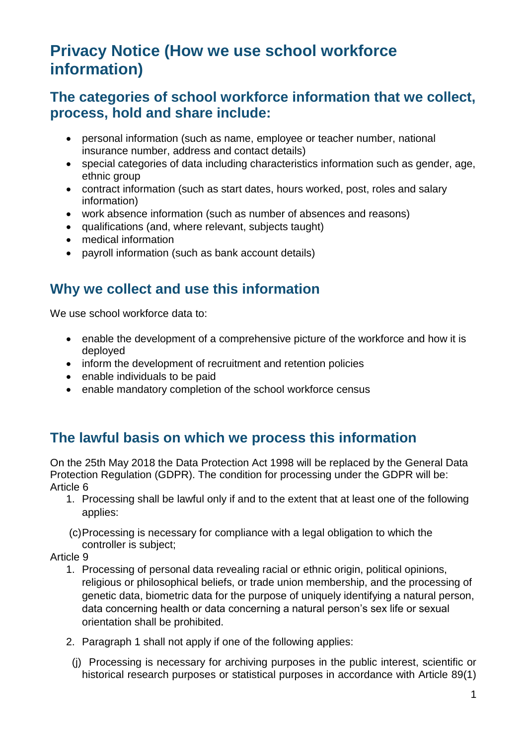# **Privacy Notice (How we use school workforce information)**

#### **The categories of school workforce information that we collect, process, hold and share include:**

- personal information (such as name, employee or teacher number, national insurance number, address and contact details)
- special categories of data including characteristics information such as gender, age, ethnic group
- contract information (such as start dates, hours worked, post, roles and salary information)
- work absence information (such as number of absences and reasons)
- qualifications (and, where relevant, subjects taught)
- medical information
- payroll information (such as bank account details)

## **Why we collect and use this information**

We use school workforce data to:

- enable the development of a comprehensive picture of the workforce and how it is deployed
- inform the development of recruitment and retention policies
- enable individuals to be paid
- enable mandatory completion of the school workforce census

### **The lawful basis on which we process this information**

On the 25th May 2018 the Data Protection Act 1998 will be replaced by the General Data Protection Regulation (GDPR). The condition for processing under the GDPR will be: Article 6

- 1. Processing shall be lawful only if and to the extent that at least one of the following applies:
- (c)Processing is necessary for compliance with a legal obligation to which the controller is subject;

#### Article 9

- 1. Processing of personal data revealing racial or ethnic origin, political opinions, religious or philosophical beliefs, or trade union membership, and the processing of genetic data, biometric data for the purpose of uniquely identifying a natural person, data concerning health or data concerning a natural person's sex life or sexual orientation shall be prohibited.
- 2. Paragraph 1 shall not apply if one of the following applies:
	- (j) Processing is necessary for archiving purposes in the public interest, scientific or historical research purposes or statistical purposes in accordance with Article 89(1)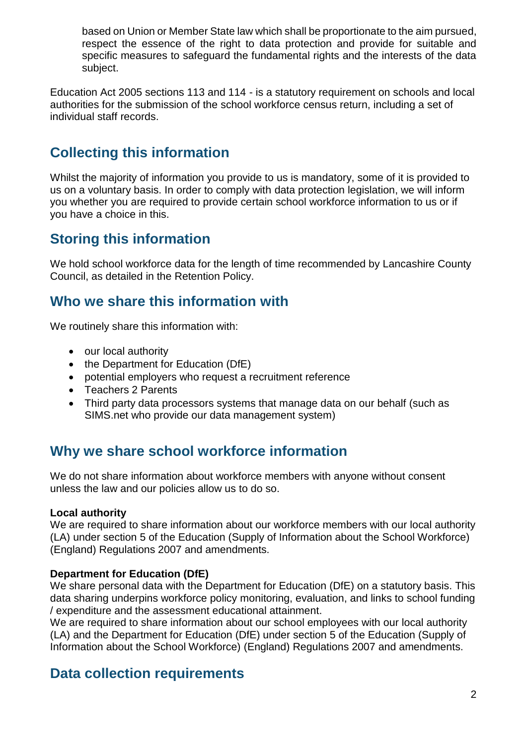based on Union or Member State law which shall be proportionate to the aim pursued, respect the essence of the right to data protection and provide for suitable and specific measures to safeguard the fundamental rights and the interests of the data subject.

Education Act 2005 sections 113 and 114 - is a statutory requirement on schools and local authorities for the submission of the school workforce census return, including a set of individual staff records.

# **Collecting this information**

Whilst the majority of information you provide to us is mandatory, some of it is provided to us on a voluntary basis. In order to comply with data protection legislation, we will inform you whether you are required to provide certain school workforce information to us or if you have a choice in this.

### **Storing this information**

We hold school workforce data for the length of time recommended by Lancashire County Council, as detailed in the Retention Policy.

### **Who we share this information with**

We routinely share this information with:

- our local authority
- the Department for Education (DfE)
- potential employers who request a recruitment reference
- Teachers 2 Parents
- Third party data processors systems that manage data on our behalf (such as SIMS.net who provide our data management system)

#### **Why we share school workforce information**

We do not share information about workforce members with anyone without consent unless the law and our policies allow us to do so.

#### **Local authority**

We are required to share information about our workforce members with our local authority (LA) under section 5 of the Education (Supply of Information about the School Workforce) (England) Regulations 2007 and amendments.

#### **Department for Education (DfE)**

We share personal data with the Department for Education (DfE) on a statutory basis. This data sharing underpins workforce policy monitoring, evaluation, and links to school funding / expenditure and the assessment educational attainment.

We are required to share information about our school employees with our local authority (LA) and the Department for Education (DfE) under section 5 of the Education (Supply of Information about the School Workforce) (England) Regulations 2007 and amendments.

### **Data collection requirements**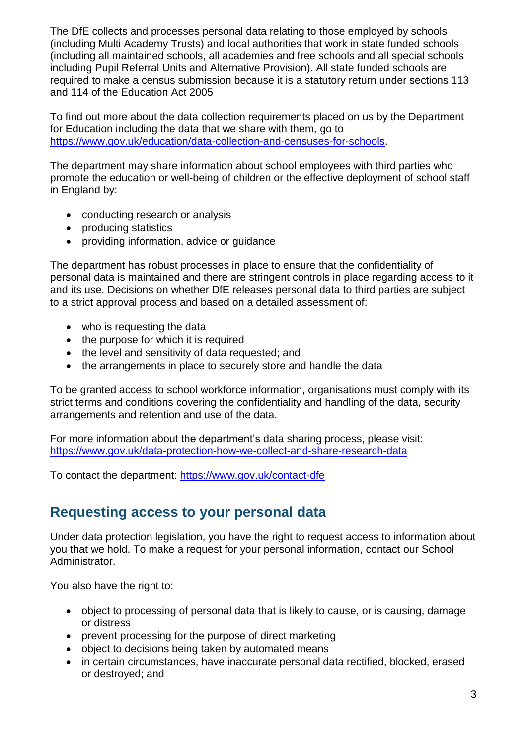The DfE collects and processes personal data relating to those employed by schools (including Multi Academy Trusts) and local authorities that work in state funded schools (including all maintained schools, all academies and free schools and all special schools including Pupil Referral Units and Alternative Provision). All state funded schools are required to make a census submission because it is a statutory return under sections 113 and 114 of the Education Act 2005

To find out more about the data collection requirements placed on us by the Department for Education including the data that we share with them, go to [https://www.gov.uk/education/data-collection-and-censuses-for-schools.](https://www.gov.uk/education/data-collection-and-censuses-for-schools)

The department may share information about school employees with third parties who promote the education or well-being of children or the effective deployment of school staff in England by:

- conducting research or analysis
- producing statistics
- providing information, advice or guidance

The department has robust processes in place to ensure that the confidentiality of personal data is maintained and there are stringent controls in place regarding access to it and its use. Decisions on whether DfE releases personal data to third parties are subject to a strict approval process and based on a detailed assessment of:

- who is requesting the data
- the purpose for which it is required
- the level and sensitivity of data requested; and
- the arrangements in place to securely store and handle the data

To be granted access to school workforce information, organisations must comply with its strict terms and conditions covering the confidentiality and handling of the data, security arrangements and retention and use of the data.

For more information about the department's data sharing process, please visit: <https://www.gov.uk/data-protection-how-we-collect-and-share-research-data>

To contact the department:<https://www.gov.uk/contact-dfe>

### **Requesting access to your personal data**

Under data protection legislation, you have the right to request access to information about you that we hold. To make a request for your personal information, contact our School Administrator.

You also have the right to:

- object to processing of personal data that is likely to cause, or is causing, damage or distress
- prevent processing for the purpose of direct marketing
- object to decisions being taken by automated means
- in certain circumstances, have inaccurate personal data rectified, blocked, erased or destroyed; and